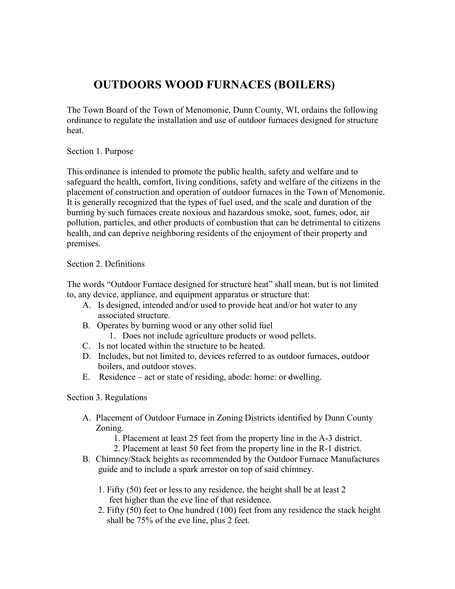## **OUTDOORS WOOD FURNACES (BOILERS)**

The Town Board of the Town of Menomonie, Dunn County, WI, ordains the following ordinance to regulate the installation and use of outdoor furnaces designed for structure heat.

Section 1. Purpose

This ordinance is intended to promote the public health, safety and welfare and to safeguard the health, comfort, living conditions, safety and welfare of the citizens in the placement of construction and operation of outdoor furnaces in the Town of Menomonie. It is generally recognized that the types of fuel used, and the scale and duration of the burning by such furnaces create noxious and hazardous smoke, soot, fumes, odor, air pollution, particles, and other products of combustion that can be detrimental to citizens health, and can deprive neighboring residents of the enjoyment of their property and premises.

## Section 2. Definitions

The words "Outdoor Furnace designed for structure heat" shall mean, but is not limited to, any device, appliance, and equipment apparatus or structure that:

- A. Is designed, intended and/or used to provide heat and/or hot water to any associated structure.
- B. Operates by burning wood or any other solid fuel
	- 1. Does not include agriculture products or wood pellets.
- C. Is not located within the structure to be heated.
- D. Includes, but not limited to, devices referred to as outdoor furnaces, outdoor boilers, and outdoor stoves.
- E. Residence act or state of residing, abode: home: or dwelling.

## Section 3. Regulations

- A. Placement of Outdoor Furnace in Zoning Districts identified by Dunn County Zoning.
	- 1. Placement at least 25 feet from the property line in the A-3 district.
	- 2. Placement at least 50 feet from the property line in the R-1 district.
- B. Chimney/Stack heights as recommended by the Outdoor Furnace Manufactures guide and to include a spark arrestor on top of said chimney.
	- 1. Fifty (50) feet or less to any residence, the height shall be at least 2 feet higher than the eve line of that residence.
	- 2. Fifty (50) feet to One hundred (100) feet from any residence the stack height shall be 75% of the eve line, plus 2 feet.